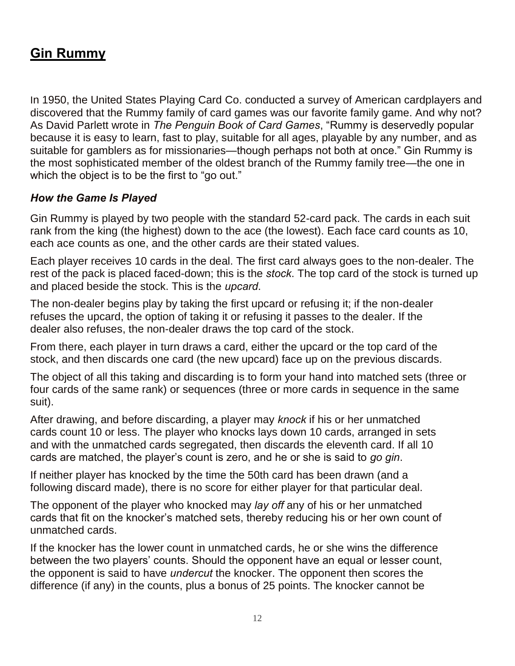## **Gin Rummy**

In 1950, the United States Playing Card Co. conducted a survey of American cardplayers and discovered that the Rummy family of card games was our favorite family game. And why not? As David Parlett wrote in *The Penguin Book of Card Games*, "Rummy is deservedly popular because it is easy to learn, fast to play, suitable for all ages, playable by any number, and as suitable for gamblers as for missionaries—though perhaps not both at once." Gin Rummy is the most sophisticated member of the oldest branch of the Rummy family tree—the one in which the object is to be the first to "go out."

## *How the Game Is Played*

Gin Rummy is played by two people with the standard 52-card pack. The cards in each suit rank from the king (the highest) down to the ace (the lowest). Each face card counts as 10, each ace counts as one, and the other cards are their stated values.

Each player receives 10 cards in the deal. The first card always goes to the non-dealer. The rest of the pack is placed faced-down; this is the *stock*. The top card of the stock is turned up and placed beside the stock. This is the *upcard*.

The non-dealer begins play by taking the first upcard or refusing it; if the non-dealer refuses the upcard, the option of taking it or refusing it passes to the dealer. If the dealer also refuses, the non-dealer draws the top card of the stock.

From there, each player in turn draws a card, either the upcard or the top card of the stock, and then discards one card (the new upcard) face up on the previous discards.

The object of all this taking and discarding is to form your hand into matched sets (three or four cards of the same rank) or sequences (three or more cards in sequence in the same suit).

After drawing, and before discarding, a player may *knock* if his or her unmatched cards count 10 or less. The player who knocks lays down 10 cards, arranged in sets and with the unmatched cards segregated, then discards the eleventh card. If all 10 cards are matched, the player's count is zero, and he or she is said to *go gin*.

If neither player has knocked by the time the 50th card has been drawn (and a following discard made), there is no score for either player for that particular deal.

The opponent of the player who knocked may *lay off* any of his or her unmatched cards that fit on the knocker's matched sets, thereby reducing his or her own count of unmatched cards.

If the knocker has the lower count in unmatched cards, he or she wins the difference between the two players' counts. Should the opponent have an equal or lesser count, the opponent is said to have *undercut* the knocker. The opponent then scores the difference (if any) in the counts, plus a bonus of 25 points. The knocker cannot be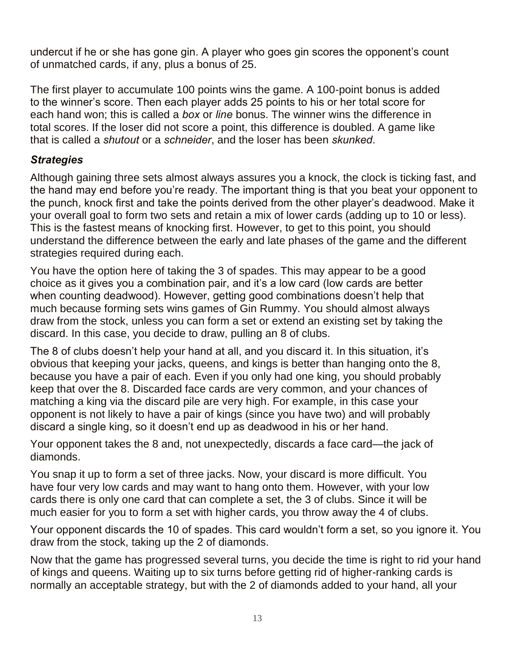undercut if he or she has gone gin. A player who goes gin scores the opponent's count of unmatched cards, if any, plus a bonus of 25.

The first player to accumulate 100 points wins the game. A 100-point bonus is added to the winner's score. Then each player adds 25 points to his or her total score for each hand won; this is called a *box* or *line* bonus. The winner wins the difference in total scores. If the loser did not score a point, this difference is doubled. A game like that is called a *shutout* or a *schneider*, and the loser has been *skunked*.

## *Strategies*

Although gaining three sets almost always assures you a knock, the clock is ticking fast, and the hand may end before you're ready. The important thing is that you beat your opponent to the punch, knock first and take the points derived from the other player's deadwood. Make it your overall goal to form two sets and retain a mix of lower cards (adding up to 10 or less). This is the fastest means of knocking first. However, to get to this point, you should understand the difference between the early and late phases of the game and the different strategies required during each.

You have the option here of taking the 3 of spades. This may appear to be a good choice as it gives you a combination pair, and it's a low card (low cards are better when counting deadwood). However, getting good combinations doesn't help that much because forming sets wins games of Gin Rummy. You should almost always draw from the stock, unless you can form a set or extend an existing set by taking the discard. In this case, you decide to draw, pulling an 8 of clubs.

The 8 of clubs doesn't help your hand at all, and you discard it. In this situation, it's obvious that keeping your jacks, queens, and kings is better than hanging onto the 8, because you have a pair of each. Even if you only had one king, you should probably keep that over the 8. Discarded face cards are very common, and your chances of matching a king via the discard pile are very high. For example, in this case your opponent is not likely to have a pair of kings (since you have two) and will probably discard a single king, so it doesn't end up as deadwood in his or her hand.

Your opponent takes the 8 and, not unexpectedly, discards a face card—the jack of diamonds.

You snap it up to form a set of three jacks. Now, your discard is more difficult. You have four very low cards and may want to hang onto them. However, with your low cards there is only one card that can complete a set, the 3 of clubs. Since it will be much easier for you to form a set with higher cards, you throw away the 4 of clubs.

Your opponent discards the 10 of spades. This card wouldn't form a set, so you ignore it. You draw from the stock, taking up the 2 of diamonds.

Now that the game has progressed several turns, you decide the time is right to rid your hand of kings and queens. Waiting up to six turns before getting rid of higher-ranking cards is normally an acceptable strategy, but with the 2 of diamonds added to your hand, all your